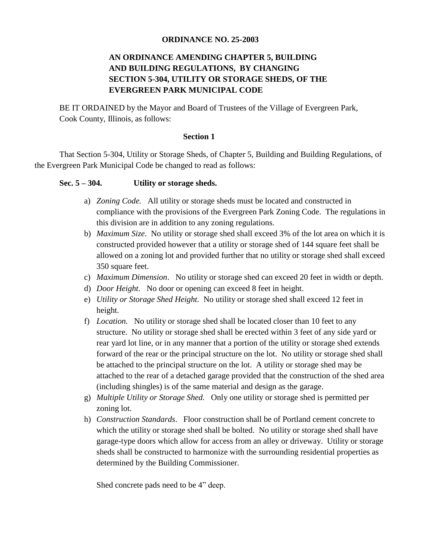# **ORDINANCE NO. 25-2003**

# **AN ORDINANCE AMENDING CHAPTER 5, BUILDING AND BUILDING REGULATIONS, BY CHANGING SECTION 5-304, UTILITY OR STORAGE SHEDS, OF THE EVERGREEN PARK MUNICIPAL CODE**

BE IT ORDAINED by the Mayor and Board of Trustees of the Village of Evergreen Park, Cook County, Illinois, as follows:

### **Section 1**

That Section 5-304, Utility or Storage Sheds, of Chapter 5, Building and Building Regulations, of the Evergreen Park Municipal Code be changed to read as follows:

# **Sec. 5 – 304. Utility or storage sheds.**

- a) *Zoning Code.* All utility or storage sheds must be located and constructed in compliance with the provisions of the Evergreen Park Zoning Code. The regulations in this division are in addition to any zoning regulations.
- b) *Maximum Size*. No utility or storage shed shall exceed 3% of the lot area on which it is constructed provided however that a utility or storage shed of 144 square feet shall be allowed on a zoning lot and provided further that no utility or storage shed shall exceed 350 square feet.
- c) *Maximum Dimension*. No utility or storage shed can exceed 20 feet in width or depth.
- d) *Door Height*. No door or opening can exceed 8 feet in height.
- e) *Utility or Storage Shed Height.* No utility or storage shed shall exceed 12 feet in height.
- f) *Location.* No utility or storage shed shall be located closer than 10 feet to any structure. No utility or storage shed shall be erected within 3 feet of any side yard or rear yard lot line, or in any manner that a portion of the utility or storage shed extends forward of the rear or the principal structure on the lot. No utility or storage shed shall be attached to the principal structure on the lot. A utility or storage shed may be attached to the rear of a detached garage provided that the construction of the shed area (including shingles) is of the same material and design as the garage.
- g) *Multiple Utility or Storage Shed.* Only one utility or storage shed is permitted per zoning lot.
- h) *Construction Standards*. Floor construction shall be of Portland cement concrete to which the utility or storage shed shall be bolted. No utility or storage shed shall have garage-type doors which allow for access from an alley or driveway. Utility or storage sheds shall be constructed to harmonize with the surrounding residential properties as determined by the Building Commissioner.

Shed concrete pads need to be 4" deep.